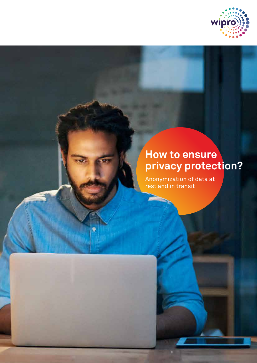

# **How to ensure privacy protection?**

Anonymization of data at rest and in transit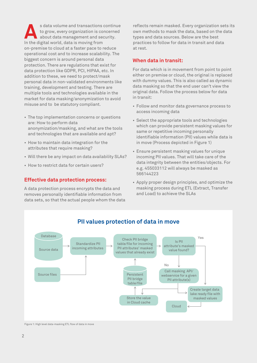s data volume and transactions continue to grow, every organization is concerned about data management and security. In the digital world, data is moving from on-premise to cloud at a faster pace to reduce operational cost and to increase scalability. The biggest concern is around personal data protection. There are regulations that exist for data protection like GDPR, PCI, HIPAA, etc. In addition to these, we need to protect/mask personal data in non-validated environments like training, development and testing. There are multiple tools and technologies available in the market for data masking/anonymization to avoid misuse and to be statutory compliant.

- The top implementation concerns or questions are: How to perform data anonymization/masking, and what are the tools and technologies that are available and apt?
- How to maintain data integration for the attributes that require masking?
- Will there be any impact on data availability SLAs?
- How to restrict data for certain users?

#### **Effective data protection process:**

A data protection process encrypts the data and removes personally identifiable information from data sets, so that the actual people whom the data reflects remain masked. Every organization sets its own methods to mask the data, based on the data types and data sources. Below are the best practices to follow for data in transit and data at rest.

#### **When data in transit:**

For data which is in movement from point to point either on premise or cloud, the original is replaced with dummy values. This is also called as dynamic data masking so that the end user can't view the original data. Follow the process below for data in transit:

- Follow and monitor data governance process to access incoming data
- Select the appropriate tools and technologies which can provide persistent masking values for same or repetitive incoming personally identifiable information (PII) values while data is in move (Process depicted in Figure 1)
- Ensure persistent masking values for unique incoming PII values. That will take care of the data integrity between the entities/objects. For e.g. 455033112 will always be masked as 566144223
- Apply proper design principles, and optimize the masking process during ETL (Extract, Transfer and Load) to achieve the SLAs

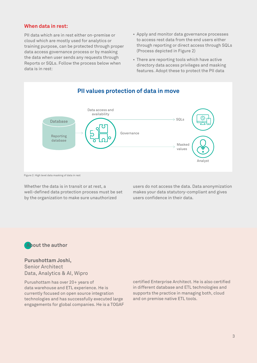### **When data in rest:**

PII data which are in rest either on-premise or cloud which are mostly used for analytics or training purpose, can be protected through proper data access governance process or by masking the data when user sends any requests through Reports or SQLs. Follow the process below when data is in rest:

- Apply and monitor data governance processes to access rest data from the end users either through reporting or direct access through SQLs (Process depicted in Figure 2)
- There are reporting tools which have active directory data access privileges and masking features. Adopt these to protect the PII data



#### Figure 2: High level data masking of data in rest

Whether the data is in transit or at rest, a well-defined data protection process must be set by the organization to make sure unauthorized

users do not access the data. Data anonymization makes your data statutory-compliant and gives users confidence in their data.



## **Purushottam Joshi,**

Senior Architect Data, Analytics & AI, Wipro

Purushottam has over 20+ years of data warehouse and ETL experience. He is currently focused on open source integration technologies and has successfully executed large engagements for global companies. He is a TOGAF certified Enterprise Architect. He is also certified in different database and ETL technologies and supports the practice in managing both, cloud and on premise native ETL tools.